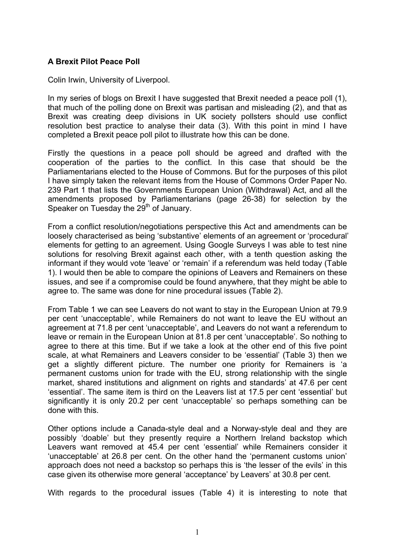## **A Brexit Pilot Peace Poll**

Colin Irwin, University of Liverpool.

In my series of blogs on Brexit I have suggested that Brexit needed a peace poll (1), that much of the polling done on Brexit was partisan and misleading (2), and that as Brexit was creating deep divisions in UK society pollsters should use conflict resolution best practice to analyse their data (3). With this point in mind I have completed a Brexit peace poll pilot to illustrate how this can be done.

Firstly the questions in a peace poll should be agreed and drafted with the cooperation of the parties to the conflict. In this case that should be the Parliamentarians elected to the House of Commons. But for the purposes of this pilot I have simply taken the relevant items from the House of Commons Order Paper No. 239 Part 1 that lists the Governments European Union (Withdrawal) Act, and all the amendments proposed by Parliamentarians (page 26-38) for selection by the Speaker on Tuesday the 29<sup>th</sup> of January.

From a conflict resolution/negotiations perspective this Act and amendments can be loosely characterised as being 'substantive' elements of an agreement or 'procedural' elements for getting to an agreement. Using Google Surveys I was able to test nine solutions for resolving Brexit against each other, with a tenth question asking the informant if they would vote 'leave' or 'remain' if a referendum was held today (Table 1). I would then be able to compare the opinions of Leavers and Remainers on these issues, and see if a compromise could be found anywhere, that they might be able to agree to. The same was done for nine procedural issues (Table 2).

From Table 1 we can see Leavers do not want to stay in the European Union at 79.9 per cent 'unacceptable', while Remainers do not want to leave the EU without an agreement at 71.8 per cent 'unacceptable', and Leavers do not want a referendum to leave or remain in the European Union at 81.8 per cent 'unacceptable'. So nothing to agree to there at this time. But if we take a look at the other end of this five point scale, at what Remainers and Leavers consider to be 'essential' (Table 3) then we get a slightly different picture. The number one priority for Remainers is 'a permanent customs union for trade with the EU, strong relationship with the single market, shared institutions and alignment on rights and standards' at 47.6 per cent 'essential'. The same item is third on the Leavers list at 17.5 per cent 'essential' but significantly it is only 20.2 per cent 'unacceptable' so perhaps something can be done with this.

Other options include a Canada-style deal and a Norway-style deal and they are possibly 'doable' but they presently require a Northern Ireland backstop which Leavers want removed at 45.4 per cent 'essential' while Remainers consider it 'unacceptable' at 26.8 per cent. On the other hand the 'permanent customs union' approach does not need a backstop so perhaps this is 'the lesser of the evils' in this case given its otherwise more general 'acceptance' by Leavers' at 30.8 per cent.

With regards to the procedural issues (Table 4) it is interesting to note that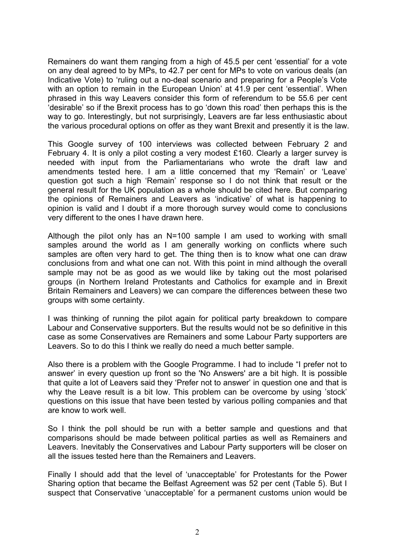Remainers do want them ranging from a high of 45.5 per cent 'essential' for a vote on any deal agreed to by MPs, to 42.7 per cent for MPs to vote on various deals (an Indicative Vote) to 'ruling out a no-deal scenario and preparing for a People's Vote with an option to remain in the European Union' at 41.9 per cent 'essential'. When phrased in this way Leavers consider this form of referendum to be 55.6 per cent 'desirable' so if the Brexit process has to go 'down this road' then perhaps this is the way to go. Interestingly, but not surprisingly, Leavers are far less enthusiastic about the various procedural options on offer as they want Brexit and presently it is the law.

This Google survey of 100 interviews was collected between February 2 and February 4. It is only a pilot costing a very modest £160. Clearly a larger survey is needed with input from the Parliamentarians who wrote the draft law and amendments tested here. I am a little concerned that my 'Remain' or 'Leave' question got such a high 'Remain' response so I do not think that result or the general result for the UK population as a whole should be cited here. But comparing the opinions of Remainers and Leavers as 'indicative' of what is happening to opinion is valid and I doubt if a more thorough survey would come to conclusions very different to the ones I have drawn here.

Although the pilot only has an N=100 sample I am used to working with small samples around the world as I am generally working on conflicts where such samples are often very hard to get. The thing then is to know what one can draw conclusions from and what one can not. With this point in mind although the overall sample may not be as good as we would like by taking out the most polarised groups (in Northern Ireland Protestants and Catholics for example and in Brexit Britain Remainers and Leavers) we can compare the differences between these two groups with some certainty.

I was thinking of running the pilot again for political party breakdown to compare Labour and Conservative supporters. But the results would not be so definitive in this case as some Conservatives are Remainers and some Labour Party supporters are Leavers. So to do this I think we really do need a much better sample.

Also there is a problem with the Google Programme. I had to include "I prefer not to answer' in every question up front so the 'No Answers' are a bit high. It is possible that quite a lot of Leavers said they 'Prefer not to answer' in question one and that is why the Leave result is a bit low. This problem can be overcome by using 'stock' questions on this issue that have been tested by various polling companies and that are know to work well.

So I think the poll should be run with a better sample and questions and that comparisons should be made between political parties as well as Remainers and Leavers. Inevitably the Conservatives and Labour Party supporters will be closer on all the issues tested here than the Remainers and Leavers.

Finally I should add that the level of 'unacceptable' for Protestants for the Power Sharing option that became the Belfast Agreement was 52 per cent (Table 5). But I suspect that Conservative 'unacceptable' for a permanent customs union would be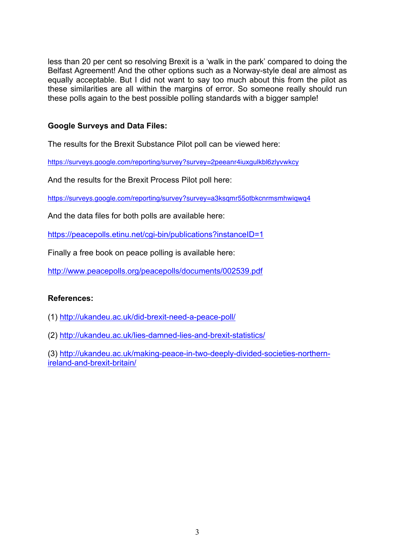less than 20 per cent so resolving Brexit is a 'walk in the park' compared to doing the Belfast Agreement! And the other options such as a Norway-style deal are almost as equally acceptable. But I did not want to say too much about this from the pilot as these similarities are all within the margins of error. So someone really should run these polls again to the best possible polling standards with a bigger sample!

## **Google Surveys and Data Files:**

The results for the Brexit Substance Pilot poll can be viewed here:

https://surveys.google.com/reporting/survey?survey=2peeanr4iuxgulkbl6zlyvwkcy

And the results for the Brexit Process Pilot poll here:

https://surveys.google.com/reporting/survey?survey=a3ksqmr55otbkcnrmsmhwiqwq4

And the data files for both polls are available here:

https://peacepolls.etinu.net/cgi-bin/publications?instanceID=1

Finally a free book on peace polling is available here:

http://www.peacepolls.org/peacepolls/documents/002539.pdf

## **References:**

(1) http://ukandeu.ac.uk/did-brexit-need-a-peace-poll/

(2) http://ukandeu.ac.uk/lies-damned-lies-and-brexit-statistics/

(3) http://ukandeu.ac.uk/making-peace-in-two-deeply-divided-societies-northernireland-and-brexit-britain/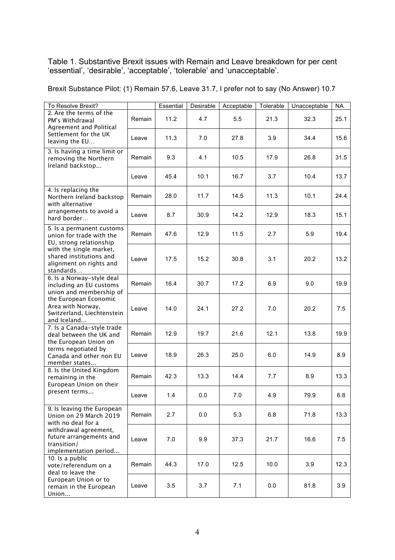Table 1. Substantive Brexit issues with Remain and Leave breakdown for per cent 'essential', 'desirable', 'acceptable', 'tolerable' and 'unacceptable'.

| To Resolve Brexit?                                                                                                                                                                                                                                                                                                                                                                                                            |        | Essential | Desirable | Acceptable | Tolerable | Unacceptable | <b>NA</b> |
|-------------------------------------------------------------------------------------------------------------------------------------------------------------------------------------------------------------------------------------------------------------------------------------------------------------------------------------------------------------------------------------------------------------------------------|--------|-----------|-----------|------------|-----------|--------------|-----------|
| 2. Are the terms of the<br>PM's Withdrawal<br>Agreement and Political                                                                                                                                                                                                                                                                                                                                                         | Remain | 11.2      | 4.7       | 5.5        | 21.3      | 32.3         | 25.1      |
| Settlement for the UK<br>leaving the EU                                                                                                                                                                                                                                                                                                                                                                                       | Leave  | 11.3      | 7.0       | 27.8       | 3.9       | 34.4         | 15.6      |
| 3. Is having a time limit or<br>removing the Northern<br>Ireland backstop                                                                                                                                                                                                                                                                                                                                                     | Remain | 9.3       | 4.1       | 10.5       | 17.9      | 26.8         | 31.5      |
|                                                                                                                                                                                                                                                                                                                                                                                                                               | Leave  | 45.4      | 10.1      | 16.7       | 3.7       | 10.4         | 13.7      |
| 4. Is replacing the<br>Northern Ireland backstop<br>with alternative                                                                                                                                                                                                                                                                                                                                                          | Remain | 28.0      | 11.7      | 14.5       | 11.3      | 10.1         | 24.4      |
| arrangements to avoid a<br>hard border                                                                                                                                                                                                                                                                                                                                                                                        | Leave  | 8.7       | 30.9      | 14.2       | 12.9      | 18.3         | 15.1      |
| 5. Is a permanent customs<br>union for trade with the<br>EU, strong relationship                                                                                                                                                                                                                                                                                                                                              | Remain | 47.6      | 12.9      | 11.5       | 2.7       | 5.9          | 19.4      |
| with the single market,<br>shared institutions and<br>alignment on rights and<br>standards<br>6. Is a Norway-style deal<br>including an EU customs<br>union and membership of<br>the European Economic<br>Area with Norway,<br>Switzerland, Liechtenstein<br>and Iceland<br>7. Is a Canada-style trade<br>deal between the UK and<br>the European Union on<br>terms negotiated by<br>Canada and other non EU<br>member states | Leave  | 17.5      | 15.2      | 30.8       | 3.1       | 20.2         | 13.2      |
|                                                                                                                                                                                                                                                                                                                                                                                                                               | Remain | 16.4      | 30.7      | 17.2       | 6.9       | 9.0          | 19.9      |
|                                                                                                                                                                                                                                                                                                                                                                                                                               | Leave  | 14.0      | 24.1      | 27.2       | 7.0       | 20.2         | 7.5       |
|                                                                                                                                                                                                                                                                                                                                                                                                                               | Remain | 12.9      | 19.7      | 21.6       | 12.1      | 13.8         | 19.9      |
|                                                                                                                                                                                                                                                                                                                                                                                                                               | Leave  | 18.9      | 26.3      | 25.0       | 6.0       | 14.9         | 8.9       |
| 8. Is the United Kingdom<br>remaining in the<br>European Union on their<br>present terms                                                                                                                                                                                                                                                                                                                                      | Remain | 42.3      | 13.3      | 14.4       | 7.7       | 8.9          | 13.3      |
|                                                                                                                                                                                                                                                                                                                                                                                                                               | Leave  | 1.4       | 0.0       | 7.0        | 4.9       | 79.9         | 6.8       |
| 9. Is leaving the European<br>Union on 29 March 2019<br>with no deal for a<br>withdrawal agreement,<br>future arrangements and<br>transition/<br>implementation period<br>10. Is a public<br>vote/referendum on a<br>deal to leave the                                                                                                                                                                                        | Remain | 2.7       | 0.0       | 5.3        | 6.8       | 71.8         | 13.3      |
|                                                                                                                                                                                                                                                                                                                                                                                                                               | Leave  | 7.0       | 9.9       | 37.3       | 21.7      | 16.6         | 7.5       |
|                                                                                                                                                                                                                                                                                                                                                                                                                               | Remain | 44.3      | 17.0      | 12.5       | 10.0      | 3.9          | 12.3      |
| European Union or to<br>remain in the European<br>Union                                                                                                                                                                                                                                                                                                                                                                       | Leave  | 3.5       | 3.7       | 7.1        | 0.0       | 81.8         | 3.9       |

Brexit Substance Pilot: (1) Remain 57.6, Leave 31.7, I prefer not to say (No Answer) 10.7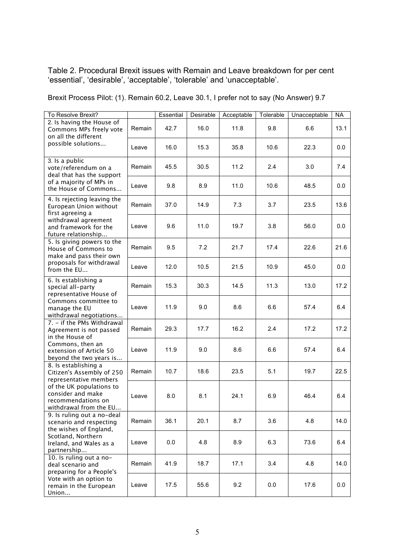Table 2. Procedural Brexit issues with Remain and Leave breakdown for per cent 'essential', 'desirable', 'acceptable', 'tolerable' and 'unacceptable'.

Brexit Process Pilot: (1). Remain 60.2, Leave 30.1, I prefer not to say (No Answer) 9.7

| To Resolve Brexit?                                                                                                                                                                                                                                                                                                              |        | Essential | Desirable | Acceptable | Tolerable | Unacceptable | <b>NA</b> |
|---------------------------------------------------------------------------------------------------------------------------------------------------------------------------------------------------------------------------------------------------------------------------------------------------------------------------------|--------|-----------|-----------|------------|-----------|--------------|-----------|
| 2. Is having the House of<br>Commons MPs freely vote<br>on all the different                                                                                                                                                                                                                                                    | Remain | 42.7      | 16.0      | 11.8       | 9.8       | 6.6          | 13.1      |
| possible solutions                                                                                                                                                                                                                                                                                                              | Leave  | 16.0      | 15.3      | 35.8       | 10.6      | 22.3         | 0.0       |
| 3. Is a public<br>vote/referendum on a<br>deal that has the support                                                                                                                                                                                                                                                             | Remain | 45.5      | 30.5      | 11.2       | 2.4       | 3.0          | 7.4       |
| of a majority of MPs in<br>the House of Commons                                                                                                                                                                                                                                                                                 | Leave  | 9.8       | 8.9       | 11.0       | 10.6      | 48.5         | 0.0       |
| 4. Is rejecting leaving the<br>European Union without<br>first agreeing a                                                                                                                                                                                                                                                       | Remain | 37.0      | 14.9      | 7.3        | 3.7       | 23.5         | 13.6      |
| withdrawal agreement<br>and framework for the<br>future relationship                                                                                                                                                                                                                                                            | Leave  | 9.6       | 11.0      | 19.7       | 3.8       | 56.0         | 0.0       |
| 5. Is giving powers to the<br>House of Commons to<br>make and pass their own                                                                                                                                                                                                                                                    | Remain | 9.5       | 7.2       | 21.7       | 17.4      | 22.6         | 21.6      |
| proposals for withdrawal<br>from the EU                                                                                                                                                                                                                                                                                         | Leave  | 12.0      | 10.5      | 21.5       | 10.9      | 45.0         | 0.0       |
| 6. Is establishing a<br>special all-party<br>representative House of<br>Commons committee to<br>manage the EU<br>withdrawal negotiations<br>7. - if the PMs Withdrawal<br>Agreement is not passed<br>in the House of<br>Commons, then an<br>extension of Article 50<br>beyond the two years is                                  | Remain | 15.3      | 30.3      | 14.5       | 11.3      | 13.0         | 17.2      |
|                                                                                                                                                                                                                                                                                                                                 | Leave  | 11.9      | 9.0       | 8.6        | 6.6       | 57.4         | 6.4       |
|                                                                                                                                                                                                                                                                                                                                 | Remain | 29.3      | 17.7      | 16.2       | 2.4       | 17.2         | 17.2      |
|                                                                                                                                                                                                                                                                                                                                 | Leave  | 11.9      | 9.0       | 8.6        | 6.6       | 57.4         | 6.4       |
| 8. Is establishing a<br>Citizen's Assembly of 250<br>representative members<br>of the UK populations to<br>consider and make<br>recommendations on<br>withdrawal from the EU<br>9. Is ruling out a no-deal<br>scenario and respecting<br>the wishes of England,<br>Scotland, Northern<br>Ireland, and Wales as a<br>partnership | Remain | 10.7      | 18.6      | 23.5       | 5.1       | 19.7         | 22.5      |
|                                                                                                                                                                                                                                                                                                                                 | Leave  | 8.0       | 8.1       | 24.1       | 6.9       | 46.4         | 6.4       |
|                                                                                                                                                                                                                                                                                                                                 | Remain | 36.1      | 20.1      | 8.7        | 3.6       | 4.8          | 14.0      |
|                                                                                                                                                                                                                                                                                                                                 | Leave  | 0.0       | 4.8       | 8.9        | 6.3       | 73.6         | 6.4       |
| 10. Is ruling out a no-<br>deal scenario and<br>preparing for a People's                                                                                                                                                                                                                                                        | Remain | 41.9      | 18.7      | 17.1       | 3.4       | 4.8          | 14.0      |
| Vote with an option to<br>remain in the European<br>Union                                                                                                                                                                                                                                                                       | Leave  | 17.5      | 55.6      | 9.2        | 0.0       | 17.6         | 0.0       |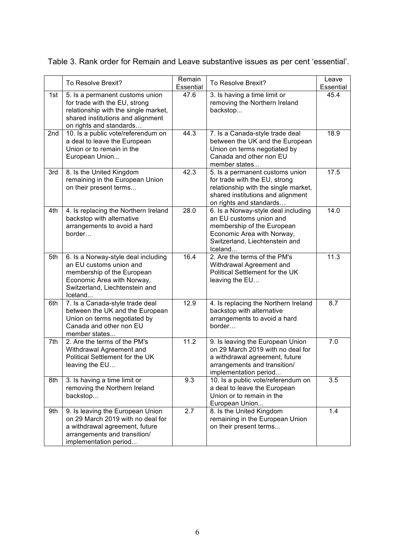|     | To Resolve Brexit?                                                                                                                                                       | Remain<br>Essential | To Resolve Brexit?                                                                                                                                                       | Leave<br>Essential |
|-----|--------------------------------------------------------------------------------------------------------------------------------------------------------------------------|---------------------|--------------------------------------------------------------------------------------------------------------------------------------------------------------------------|--------------------|
| 1st | 5. Is a permanent customs union<br>for trade with the EU, strong<br>relationship with the single market,<br>shared institutions and alignment<br>on rights and standards | 47.6                | 3. Is having a time limit or<br>removing the Northern Ireland<br>backstop                                                                                                | 45.4               |
| 2nd | 10. Is a public vote/referendum on<br>a deal to leave the European<br>Union or to remain in the<br>European Union                                                        | 44.3                | 7. Is a Canada-style trade deal<br>between the UK and the European<br>Union on terms negotiated by<br>Canada and other non EU<br>member states                           | 18.9               |
| 3rd | 8. Is the United Kingdom<br>remaining in the European Union<br>on their present terms                                                                                    | 42.3                | 5. Is a permanent customs union<br>for trade with the EU, strong<br>relationship with the single market,<br>shared institutions and alignment<br>on rights and standards | 17.5               |
| 4th | 4. Is replacing the Northern Ireland<br>backstop with alternative<br>arrangements to avoid a hard<br>border                                                              | 28.0                | 6. Is a Norway-style deal including<br>an EU customs union and<br>membership of the European<br>Economic Area with Norway,<br>Switzerland, Liechtenstein and<br>Iceland  | 14.0               |
| 5th | 6. Is a Norway-style deal including<br>an EU customs union and<br>membership of the European<br>Economic Area with Norway,<br>Switzerland, Liechtenstein and<br>Iceland  | 16.4                | 2. Are the terms of the PM's<br>Withdrawal Agreement and<br>Political Settlement for the UK<br>leaving the EU                                                            | 11.3               |
| 6th | 7. Is a Canada-style trade deal<br>between the UK and the European<br>Union on terms negotiated by<br>Canada and other non EU<br>member states                           | 12.9                | 4. Is replacing the Northern Ireland<br>backstop with alternative<br>arrangements to avoid a hard<br>border                                                              | 8.7                |
| 7th | 2. Are the terms of the PM's<br>Withdrawal Agreement and<br>Political Settlement for the UK<br>leaving the EU                                                            | 11.2                | 9. Is leaving the European Union<br>on 29 March 2019 with no deal for<br>a withdrawal agreement, future<br>arrangements and transition/<br>implementation period         | 7.0                |
| 8th | 3. Is having a time limit or<br>removing the Northern Ireland<br>backstop                                                                                                | 9.3                 | 10. Is a public vote/referendum on<br>a deal to leave the European<br>Union or to remain in the<br>European Union                                                        | 3.5                |
| 9th | 9. Is leaving the European Union<br>on 29 March 2019 with no deal for<br>a withdrawal agreement, future<br>arrangements and transition/<br>implementation period         | 2.7                 | 8. Is the United Kingdom<br>remaining in the European Union<br>on their present terms                                                                                    | 1.4                |

Table 3. Rank order for Remain and Leave substantive issues as per cent 'essential'.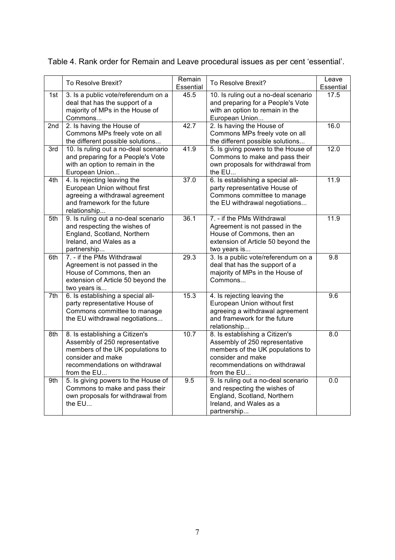|     | To Resolve Brexit?                                                                                                                                                        | Remain<br>Essential | To Resolve Brexit?                                                                                                                                                        | Leave<br>Essential |
|-----|---------------------------------------------------------------------------------------------------------------------------------------------------------------------------|---------------------|---------------------------------------------------------------------------------------------------------------------------------------------------------------------------|--------------------|
| 1st | 3. Is a public vote/referendum on a<br>deal that has the support of a<br>majority of MPs in the House of<br>Commons                                                       | 45.5                | 10. Is ruling out a no-deal scenario<br>and preparing for a People's Vote<br>with an option to remain in the<br>European Union                                            | 17.5               |
| 2nd | 2. Is having the House of<br>Commons MPs freely vote on all<br>the different possible solutions                                                                           | 42.7                | 2. Is having the House of<br>Commons MPs freely vote on all<br>the different possible solutions                                                                           | 16.0               |
| 3rd | 10. Is ruling out a no-deal scenario<br>and preparing for a People's Vote<br>with an option to remain in the<br>European Union                                            | 41.9                | 5. Is giving powers to the House of<br>Commons to make and pass their<br>own proposals for withdrawal from<br>the EU                                                      | 12.0               |
| 4th | 4. Is rejecting leaving the<br>European Union without first<br>agreeing a withdrawal agreement<br>and framework for the future<br>relationship                            | 37.0                | 6. Is establishing a special all-<br>party representative House of<br>Commons committee to manage<br>the EU withdrawal negotiations                                       | 11.9               |
| 5th | 9. Is ruling out a no-deal scenario<br>and respecting the wishes of<br>England, Scotland, Northern<br>Ireland, and Wales as a<br>partnership                              | 36.1                | 7. - if the PMs Withdrawal<br>Agreement is not passed in the<br>House of Commons, then an<br>extension of Article 50 beyond the<br>two years is                           | 11.9               |
| 6th | 7. - if the PMs Withdrawal<br>Agreement is not passed in the<br>House of Commons, then an<br>extension of Article 50 beyond the<br>two years is                           | 29.3                | 3. Is a public vote/referendum on a<br>deal that has the support of a<br>majority of MPs in the House of<br>Commons                                                       | 9.8                |
| 7th | 6. Is establishing a special all-<br>party representative House of<br>Commons committee to manage<br>the EU withdrawal negotiations                                       | 15.3                | 4. Is rejecting leaving the<br>European Union without first<br>agreeing a withdrawal agreement<br>and framework for the future<br>relationship                            | 9.6                |
| 8th | 8. Is establishing a Citizen's<br>Assembly of 250 representative<br>members of the UK populations to<br>consider and make<br>recommendations on withdrawal<br>from the EU | 10.7                | 8. Is establishing a Citizen's<br>Assembly of 250 representative<br>members of the UK populations to<br>consider and make<br>recommendations on withdrawal<br>from the EU | 8.0                |
| 9th | 5. Is giving powers to the House of<br>Commons to make and pass their<br>own proposals for withdrawal from<br>the EU                                                      | 9.5                 | 9. Is ruling out a no-deal scenario<br>and respecting the wishes of<br>England, Scotland, Northern<br>Ireland, and Wales as a<br>partnership                              | 0.0                |

Table 4. Rank order for Remain and Leave procedural issues as per cent 'essential'.